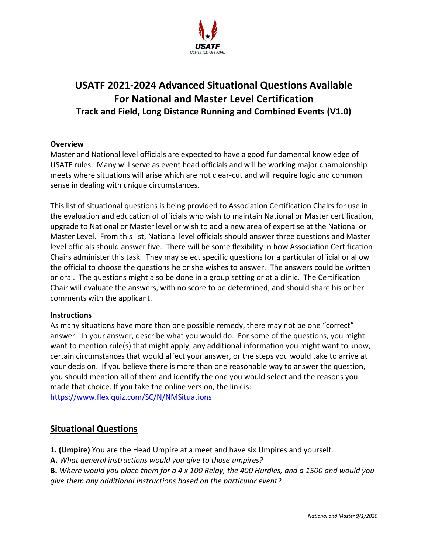

# **USATF 2021-2024 Advanced Situational Questions Available For National and Master Level Certification Track and Field, Long Distance Running and Combined Events (V1.0)**

### **Overview**

Master and National level officials are expected to have a good fundamental knowledge of USATF rules. Many will serve as event head officials and will be working major championship meets where situations will arise which are not clear-cut and will require logic and common sense in dealing with unique circumstances.

This list of situational questions is being provided to Association Certification Chairs for use in the evaluation and education of officials who wish to maintain National or Master certification, upgrade to National or Master level or wish to add a new area of expertise at the National or Master Level. From this list, National level officials should answer three questions and Master level officials should answer five. There will be some flexibility in how Association Certification Chairs administer this task. They may select specific questions for a particular official or allow the official to choose the questions he or she wishes to answer. The answers could be written or oral. The questions might also be done in a group setting or at a clinic. The Certification Chair will evaluate the answers, with no score to be determined, and should share his or her comments with the applicant.

#### **Instructions**

As many situations have more than one possible remedy, there may not be one "correct" answer. In your answer, describe what you would do. For some of the questions, you might want to mention rule(s) that might apply, any additional information you might want to know, certain circumstances that would affect your answer, or the steps you would take to arrive at your decision. If you believe there is more than one reasonable way to answer the question, you should mention all of them and identify the one you would select and the reasons you made that choice. If you take the online version, the link is: <https://www.flexiquiz.com/SC/N/NMSituations>

# **Situational Questions**

- **1. (Umpire)** You are the Head Umpire at a meet and have six Umpires and yourself.
- **A.** *What general instructions would you give to those umpires?*
- **B.** *Where would you place them for a 4 x 100 Relay, the 400 Hurdles, and a 1500 and would you give them any additional instructions based on the particular event?*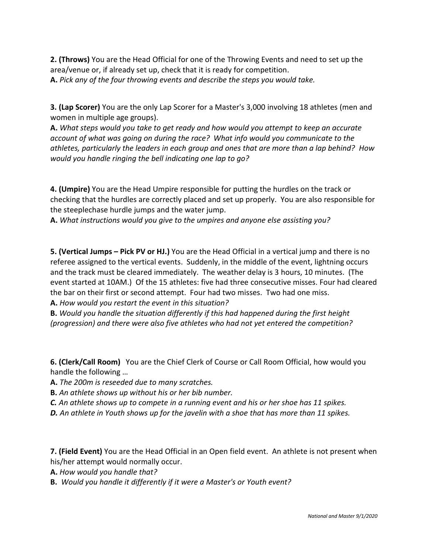**2. (Throws)** You are the Head Official for one of the Throwing Events and need to set up the area/venue or, if already set up, check that it is ready for competition. **A.** *Pick any of the four throwing events and describe the steps you would take.*

**3. (Lap Scorer)** You are the only Lap Scorer for a Master's 3,000 involving 18 athletes (men and women in multiple age groups).

**A.** *What steps would you take to get ready and how would you attempt to keep an accurate account of what was going on during the race? What info would you communicate to the athletes, particularly the leaders in each group and ones that are more than a lap behind? How would you handle ringing the bell indicating one lap to go?*

**4. (Umpire)** You are the Head Umpire responsible for putting the hurdles on the track or checking that the hurdles are correctly placed and set up properly. You are also responsible for the steeplechase hurdle jumps and the water jump.

**A.** *What instructions would you give to the umpires and anyone else assisting you?*

**5. (Vertical Jumps – Pick PV or HJ.)** You are the Head Official in a vertical jump and there is no referee assigned to the vertical events. Suddenly, in the middle of the event, lightning occurs and the track must be cleared immediately. The weather delay is 3 hours, 10 minutes. (The event started at 10AM.) Of the 15 athletes: five had three consecutive misses. Four had cleared the bar on their first or second attempt. Four had two misses. Two had one miss. **A.** *How would you restart the event in this situation?*

**B.** *Would you handle the situation differently if this had happened during the first height (progression) and there were also five athletes who had not yet entered the competition?*

**6. (Clerk/Call Room)** You are the Chief Clerk of Course or Call Room Official, how would you handle the following …

**A.** *The 200m is reseeded due to many scratches.*

- **B.** *An athlete shows up without his or her bib number.*
- *C. An athlete shows up to compete in a running event and his or her shoe has 11 spikes.*
- *D. An athlete in Youth shows up for the javelin with a shoe that has more than 11 spikes.*

**7. (Field Event)** You are the Head Official in an Open field event. An athlete is not present when his/her attempt would normally occur.

**A.** *How would you handle that?* 

**B.** *Would you handle it differently if it were a Master's or Youth event?*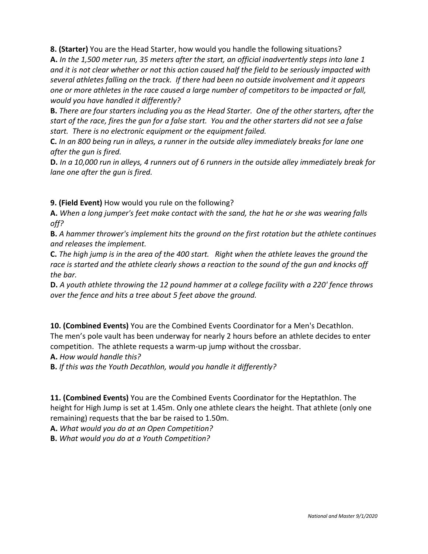**8. (Starter)** You are the Head Starter, how would you handle the following situations?

**A.** *In the 1,500 meter run, 35 meters after the start, an official inadvertently steps into lane 1 and it is not clear whether or not this action caused half the field to be seriously impacted with several athletes falling on the track. If there had been no outside involvement and it appears one or more athletes in the race caused a large number of competitors to be impacted or fall, would you have handled it differently?* 

**B.** *There are four starters including you as the Head Starter. One of the other starters, after the start of the race, fires the gun for a false start. You and the other starters did not see a false start. There is no electronic equipment or the equipment failed.*

**C.** *In an 800 being run in alleys, a runner in the outside alley immediately breaks for lane one after the gun is fired.*

**D.** *In a 10,000 run in alleys, 4 runners out of 6 runners in the outside alley immediately break for lane one after the gun is fired.*

**9. (Field Event)** How would you rule on the following?

**A.** *When a long jumper's feet make contact with the sand, the hat he or she was wearing falls off?*

**B.** *A hammer thrower's implement hits the ground on the first rotation but the athlete continues and releases the implement.*

**C.** *The high jump is in the area of the 400 start. Right when the athlete leaves the ground the race is started and the athlete clearly shows a reaction to the sound of the gun and knocks off the bar.*

**D.** *A youth athlete throwing the 12 pound hammer at a college facility with a 220' fence throws over the fence and hits a tree about 5 feet above the ground.*

**10. (Combined Events)** You are the Combined Events Coordinator for a Men's Decathlon. The men's pole vault has been underway for nearly 2 hours before an athlete decides to enter competition. The athlete requests a warm-up jump without the crossbar.

**A.** *How would handle this?*

**B.** *If this was the Youth Decathlon, would you handle it differently?*

**11. (Combined Events)** You are the Combined Events Coordinator for the Heptathlon. The height for High Jump is set at 1.45m. Only one athlete clears the height. That athlete (only one remaining) requests that the bar be raised to 1.50m.

**A.** *What would you do at an Open Competition?*

**B.** *What would you do at a Youth Competition?*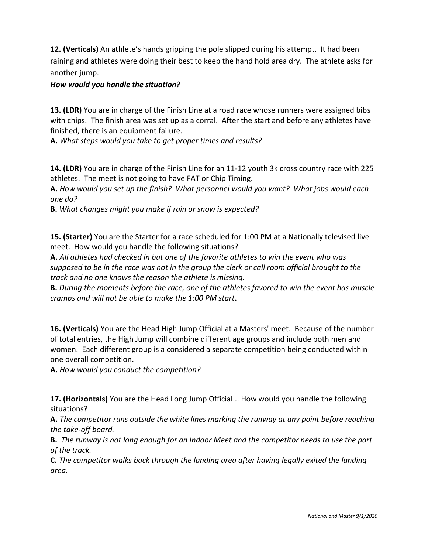**12. (Verticals)** An athlete's hands gripping the pole slipped during his attempt. It had been raining and athletes were doing their best to keep the hand hold area dry. The athlete asks for another jump.

## *How would you handle the situation?*

**13. (LDR)** You are in charge of the Finish Line at a road race whose runners were assigned bibs with chips. The finish area was set up as a corral. After the start and before any athletes have finished, there is an equipment failure.

**A.** *What steps would you take to get proper times and results?*

**14. (LDR)** You are in charge of the Finish Line for an 11-12 youth 3k cross country race with 225 athletes. The meet is not going to have FAT or Chip Timing.

**A.** *How would you set up the finish? What personnel would you want? What jobs would each one do?*

**B.** *What changes might you make if rain or snow is expected?*

**15. (Starter)** You are the Starter for a race scheduled for 1:00 PM at a Nationally televised live meet. How would you handle the following situations?

**A.** *All athletes had checked in but one of the favorite athletes to win the event who was supposed to be in the race was not in the group the clerk or call room official brought to the track and no one knows the reason the athlete is missing.*

**B.** *During the moments before the race, one of the athletes favored to win the event has muscle cramps and will not be able to make the 1:00 PM start***.**

**16. (Verticals)** You are the Head High Jump Official at a Masters' meet. Because of the number of total entries, the High Jump will combine different age groups and include both men and women. Each different group is a considered a separate competition being conducted within one overall competition.

**A.** *How would you conduct the competition?* 

**17. (Horizontals)** You are the Head Long Jump Official... How would you handle the following situations?

**A.** *The competitor runs outside the white lines marking the runway at any point before reaching the take-off board.*

**B.** *The runway is not long enough for an Indoor Meet and the competitor needs to use the part of the track.*

**C.** *The competitor walks back through the landing area after having legally exited the landing area.*